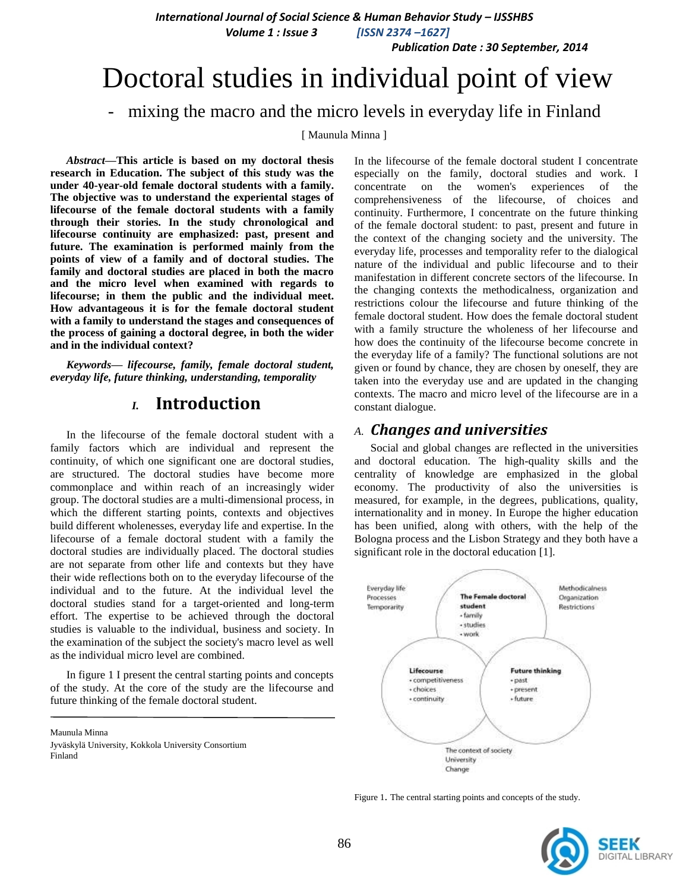*International Journal of Social Science & Human Behavior Study – IJSSHBS*

 *Volume 1 : Issue 3 [ISSN 2374 –1627]*

 *Publication Date : 30 September, 2014*

# Doctoral studies in individual point of view

## - mixing the macro and the micro levels in everyday life in Finland

[ Maunula Minna ]

*Abstract***—This article is based on my doctoral thesis research in Education. The subject of this study was the under 40-year-old female doctoral students with a family. The objective was to understand the experiental stages of lifecourse of the female doctoral students with a family through their stories. In the study chronological and lifecourse continuity are emphasized: past, present and future. The examination is performed mainly from the points of view of a family and of doctoral studies. The family and doctoral studies are placed in both the macro and the micro level when examined with regards to lifecourse; in them the public and the individual meet. How advantageous it is for the female doctoral student with a family to understand the stages and consequences of the process of gaining a doctoral degree, in both the wider and in the individual context?**

*Keywords— lifecourse, family, female doctoral student, everyday life, future thinking, understanding, temporality*

### *I.* **Introduction**

In the lifecourse of the female doctoral student with a family factors which are individual and represent the continuity, of which one significant one are doctoral studies, are structured. The doctoral studies have become more commonplace and within reach of an increasingly wider group. The doctoral studies are a multi-dimensional process, in which the different starting points, contexts and objectives build different wholenesses, everyday life and expertise. In the lifecourse of a female doctoral student with a family the doctoral studies are individually placed. The doctoral studies are not separate from other life and contexts but they have their wide reflections both on to the everyday lifecourse of the individual and to the future. At the individual level the doctoral studies stand for a target-oriented and long-term effort. The expertise to be achieved through the doctoral studies is valuable to the individual, business and society. In the examination of the subject the society's macro level as well as the individual micro level are combined.

In figure 1 I present the central starting points and concepts of the study. At the core of the study are the lifecourse and future thinking of the female doctoral student.

Maunula Minna

Jyväskylä University, Kokkola University Consortium Finland

In the lifecourse of the female doctoral student I concentrate especially on the family, doctoral studies and work. I concentrate on the women's experiences of the comprehensiveness of the lifecourse, of choices and continuity. Furthermore, I concentrate on the future thinking of the female doctoral student: to past, present and future in the context of the changing society and the university. The everyday life, processes and temporality refer to the dialogical nature of the individual and public lifecourse and to their manifestation in different concrete sectors of the lifecourse. In the changing contexts the methodicalness, organization and restrictions colour the lifecourse and future thinking of the female doctoral student. How does the female doctoral student with a family structure the wholeness of her lifecourse and how does the continuity of the lifecourse become concrete in the everyday life of a family? The functional solutions are not given or found by chance, they are chosen by oneself, they are taken into the everyday use and are updated in the changing contexts. The macro and micro level of the lifecourse are in a constant dialogue.

### *A. Changes and universities*

Social and global changes are reflected in the universities and doctoral education. The high-quality skills and the centrality of knowledge are emphasized in the global economy. The productivity of also the universities is measured, for example, in the degrees, publications, quality, internationality and in money. In Europe the higher education has been unified, along with others, with the help of the Bologna process and the Lisbon Strategy and they both have a significant role in the doctoral education [1].



Figure 1. The central starting points and concepts of the study.

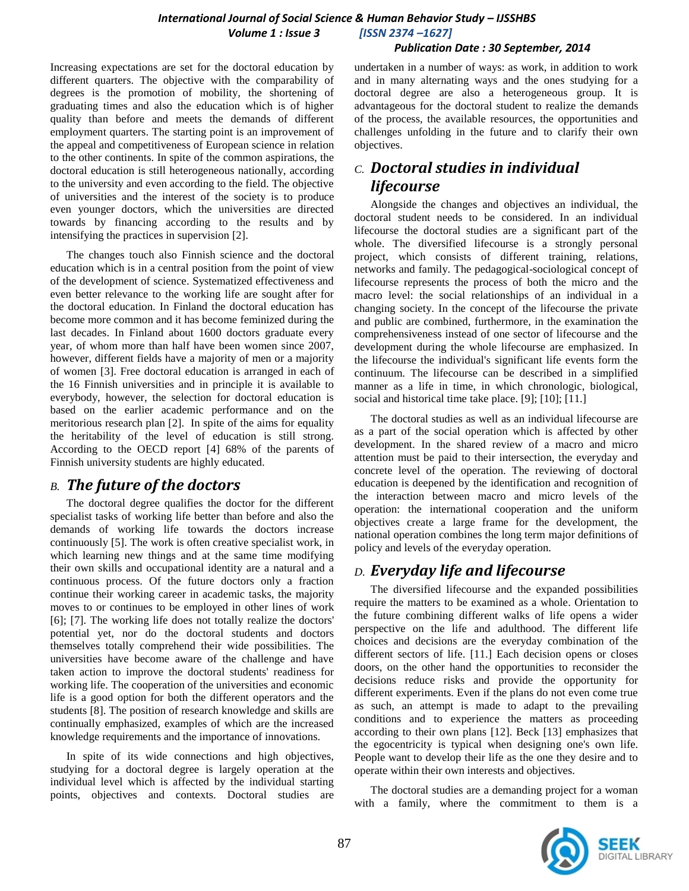#### *Publication Date : 30 September, 2014*

Increasing expectations are set for the doctoral education by different quarters. The objective with the comparability of degrees is the promotion of mobility, the shortening of graduating times and also the education which is of higher quality than before and meets the demands of different employment quarters. The starting point is an improvement of the appeal and competitiveness of European science in relation to the other continents. In spite of the common aspirations, the doctoral education is still heterogeneous nationally, according to the university and even according to the field. The objective of universities and the interest of the society is to produce even younger doctors, which the universities are directed towards by financing according to the results and by intensifying the practices in supervision [2].

The changes touch also Finnish science and the doctoral education which is in a central position from the point of view of the development of science. Systematized effectiveness and even better relevance to the working life are sought after for the doctoral education. In Finland the doctoral education has become more common and it has become feminized during the last decades. In Finland about 1600 doctors graduate every year, of whom more than half have been women since 2007, however, different fields have a majority of men or a majority of women [3]. Free doctoral education is arranged in each of the 16 Finnish universities and in principle it is available to everybody, however, the selection for doctoral education is based on the earlier academic performance and on the meritorious research plan [2]. In spite of the aims for equality the heritability of the level of education is still strong. According to the OECD report [4] 68% of the parents of Finnish university students are highly educated.

### *B. The future of the doctors*

The doctoral degree qualifies the doctor for the different specialist tasks of working life better than before and also the demands of working life towards the doctors increase continuously [5]. The work is often creative specialist work, in which learning new things and at the same time modifying their own skills and occupational identity are a natural and a continuous process. Of the future doctors only a fraction continue their working career in academic tasks, the majority moves to or continues to be employed in other lines of work [6]; [7]. The working life does not totally realize the doctors' potential yet, nor do the doctoral students and doctors themselves totally comprehend their wide possibilities. The universities have become aware of the challenge and have taken action to improve the doctoral students' readiness for working life. The cooperation of the universities and economic life is a good option for both the different operators and the students [8]. The position of research knowledge and skills are continually emphasized, examples of which are the increased knowledge requirements and the importance of innovations.

In spite of its wide connections and high objectives, studying for a doctoral degree is largely operation at the individual level which is affected by the individual starting points, objectives and contexts. Doctoral studies are undertaken in a number of ways: as work, in addition to work and in many alternating ways and the ones studying for a doctoral degree are also a heterogeneous group. It is advantageous for the doctoral student to realize the demands of the process, the available resources, the opportunities and challenges unfolding in the future and to clarify their own objectives.

# *C. Doctoral studies in individual lifecourse*

Alongside the changes and objectives an individual, the doctoral student needs to be considered. In an individual lifecourse the doctoral studies are a significant part of the whole. The diversified lifecourse is a strongly personal project, which consists of different training, relations, networks and family. The pedagogical-sociological concept of lifecourse represents the process of both the micro and the macro level: the social relationships of an individual in a changing society. In the concept of the lifecourse the private and public are combined, furthermore, in the examination the comprehensiveness instead of one sector of lifecourse and the development during the whole lifecourse are emphasized. In the lifecourse the individual's significant life events form the continuum. The lifecourse can be described in a simplified manner as a life in time, in which chronologic, biological, social and historical time take place. [9]; [10]; [11.]

The doctoral studies as well as an individual lifecourse are as a part of the social operation which is affected by other development. In the shared review of a macro and micro attention must be paid to their intersection, the everyday and concrete level of the operation. The reviewing of doctoral education is deepened by the identification and recognition of the interaction between macro and micro levels of the operation: the international cooperation and the uniform objectives create a large frame for the development, the national operation combines the long term major definitions of policy and levels of the everyday operation.

### *D. Everyday life and lifecourse*

The diversified lifecourse and the expanded possibilities require the matters to be examined as a whole. Orientation to the future combining different walks of life opens a wider perspective on the life and adulthood. The different life choices and decisions are the everyday combination of the different sectors of life. [11.] Each decision opens or closes doors, on the other hand the opportunities to reconsider the decisions reduce risks and provide the opportunity for different experiments. Even if the plans do not even come true as such, an attempt is made to adapt to the prevailing conditions and to experience the matters as proceeding according to their own plans [12]. Beck [13] emphasizes that the egocentricity is typical when designing one's own life. People want to develop their life as the one they desire and to operate within their own interests and objectives.

The doctoral studies are a demanding project for a woman with a family, where the commitment to them is a

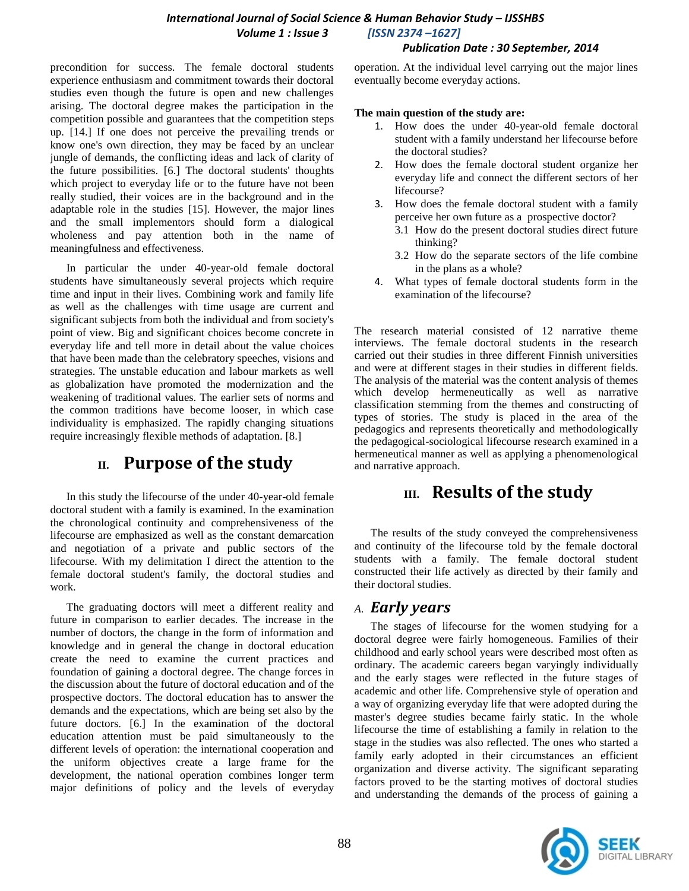### *International Journal of Social Science & Human Behavior Study – IJSSHBS Volume 1 : Issue 3 [ISSN 2374 –1627]*

### *Publication Date : 30 September, 2014*

precondition for success. The female doctoral students experience enthusiasm and commitment towards their doctoral studies even though the future is open and new challenges arising. The doctoral degree makes the participation in the competition possible and guarantees that the competition steps up. [14.] If one does not perceive the prevailing trends or know one's own direction, they may be faced by an unclear jungle of demands, the conflicting ideas and lack of clarity of the future possibilities. [6.] The doctoral students' thoughts which project to everyday life or to the future have not been really studied, their voices are in the background and in the adaptable role in the studies [15]. However, the major lines and the small implementors should form a dialogical wholeness and pay attention both in the name of meaningfulness and effectiveness.

In particular the under 40-year-old female doctoral students have simultaneously several projects which require time and input in their lives. Combining work and family life as well as the challenges with time usage are current and significant subjects from both the individual and from society's point of view. Big and significant choices become concrete in everyday life and tell more in detail about the value choices that have been made than the celebratory speeches, visions and strategies. The unstable education and labour markets as well as globalization have promoted the modernization and the weakening of traditional values. The earlier sets of norms and the common traditions have become looser, in which case individuality is emphasized. The rapidly changing situations require increasingly flexible methods of adaptation. [8.]

# **II. Purpose of the study**

In this study the lifecourse of the under 40-year-old female doctoral student with a family is examined. In the examination the chronological continuity and comprehensiveness of the lifecourse are emphasized as well as the constant demarcation and negotiation of a private and public sectors of the lifecourse. With my delimitation I direct the attention to the female doctoral student's family, the doctoral studies and work.

The graduating doctors will meet a different reality and future in comparison to earlier decades. The increase in the number of doctors, the change in the form of information and knowledge and in general the change in doctoral education create the need to examine the current practices and foundation of gaining a doctoral degree. The change forces in the discussion about the future of doctoral education and of the prospective doctors. The doctoral education has to answer the demands and the expectations, which are being set also by the future doctors. [6.] In the examination of the doctoral education attention must be paid simultaneously to the different levels of operation: the international cooperation and the uniform objectives create a large frame for the development, the national operation combines longer term major definitions of policy and the levels of everyday

operation. At the individual level carrying out the major lines eventually become everyday actions.

#### **The main question of the study are:**

- 1. How does the under 40-year-old female doctoral student with a family understand her lifecourse before the doctoral studies?
- 2. How does the female doctoral student organize her everyday life and connect the different sectors of her lifecourse?
- 3. How does the female doctoral student with a family perceive her own future as a prospective doctor?
	- 3.1 How do the present doctoral studies direct future thinking?
	- 3.2 How do the separate sectors of the life combine in the plans as a whole?
- 4. What types of female doctoral students form in the examination of the lifecourse?

The research material consisted of 12 narrative theme interviews. The female doctoral students in the research carried out their studies in three different Finnish universities and were at different stages in their studies in different fields. The analysis of the material was the content analysis of themes which develop hermeneutically as well as narrative classification stemming from the themes and constructing of types of stories. The study is placed in the area of the pedagogics and represents theoretically and methodologically the pedagogical-sociological lifecourse research examined in a hermeneutical manner as well as applying a phenomenological and narrative approach.

# **III. Results of the study**

The results of the study conveyed the comprehensiveness and continuity of the lifecourse told by the female doctoral students with a family. The female doctoral student constructed their life actively as directed by their family and their doctoral studies.

### *A. Early years*

The stages of lifecourse for the women studying for a doctoral degree were fairly homogeneous. Families of their childhood and early school years were described most often as ordinary. The academic careers began varyingly individually and the early stages were reflected in the future stages of academic and other life. Comprehensive style of operation and a way of organizing everyday life that were adopted during the master's degree studies became fairly static. In the whole lifecourse the time of establishing a family in relation to the stage in the studies was also reflected. The ones who started a family early adopted in their circumstances an efficient organization and diverse activity. The significant separating factors proved to be the starting motives of doctoral studies and understanding the demands of the process of gaining a

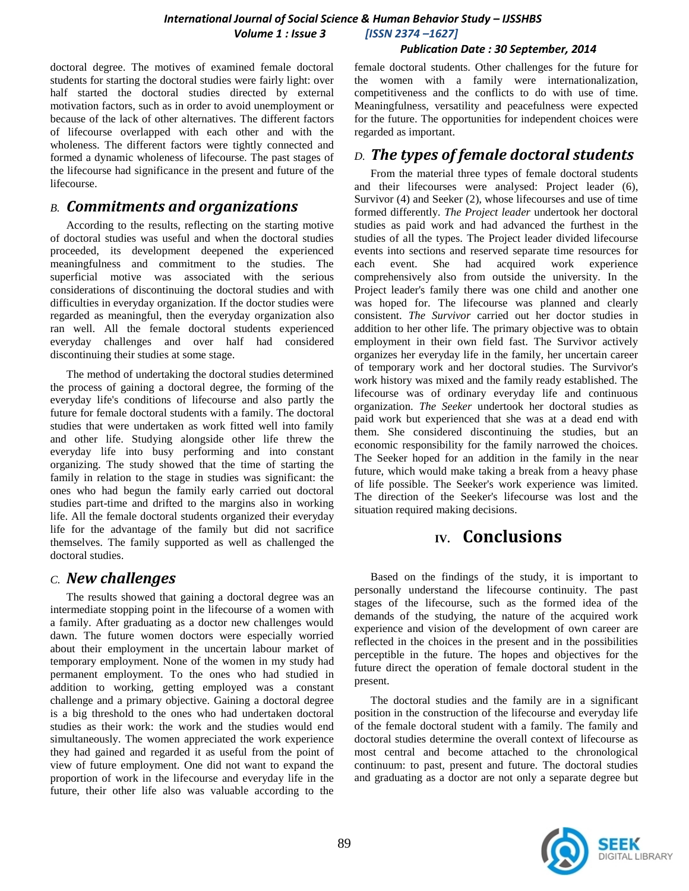### *Publication Date : 30 September, 2014*

doctoral degree. The motives of examined female doctoral students for starting the doctoral studies were fairly light: over half started the doctoral studies directed by external motivation factors, such as in order to avoid unemployment or because of the lack of other alternatives. The different factors of lifecourse overlapped with each other and with the wholeness. The different factors were tightly connected and formed a dynamic wholeness of lifecourse. The past stages of the lifecourse had significance in the present and future of the lifecourse.

### *B. Commitments and organizations*

According to the results, reflecting on the starting motive of doctoral studies was useful and when the doctoral studies proceeded, its development deepened the experienced meaningfulness and commitment to the studies. The superficial motive was associated with the serious considerations of discontinuing the doctoral studies and with difficulties in everyday organization. If the doctor studies were regarded as meaningful, then the everyday organization also ran well. All the female doctoral students experienced everyday challenges and over half had considered discontinuing their studies at some stage.

The method of undertaking the doctoral studies determined the process of gaining a doctoral degree, the forming of the everyday life's conditions of lifecourse and also partly the future for female doctoral students with a family. The doctoral studies that were undertaken as work fitted well into family and other life. Studying alongside other life threw the everyday life into busy performing and into constant organizing. The study showed that the time of starting the family in relation to the stage in studies was significant: the ones who had begun the family early carried out doctoral studies part-time and drifted to the margins also in working life. All the female doctoral students organized their everyday life for the advantage of the family but did not sacrifice themselves. The family supported as well as challenged the doctoral studies.

### *C. New challenges*

The results showed that gaining a doctoral degree was an intermediate stopping point in the lifecourse of a women with a family. After graduating as a doctor new challenges would dawn. The future women doctors were especially worried about their employment in the uncertain labour market of temporary employment. None of the women in my study had permanent employment. To the ones who had studied in addition to working, getting employed was a constant challenge and a primary objective. Gaining a doctoral degree is a big threshold to the ones who had undertaken doctoral studies as their work: the work and the studies would end simultaneously. The women appreciated the work experience they had gained and regarded it as useful from the point of view of future employment. One did not want to expand the proportion of work in the lifecourse and everyday life in the future, their other life also was valuable according to the

female doctoral students. Other challenges for the future for the women with a family were internationalization, competitiveness and the conflicts to do with use of time. Meaningfulness, versatility and peacefulness were expected for the future. The opportunities for independent choices were regarded as important.

### *D. The types of female doctoral students*

From the material three types of female doctoral students and their lifecourses were analysed: Project leader (6), Survivor (4) and Seeker (2), whose lifecourses and use of time formed differently. *The Project leader* undertook her doctoral studies as paid work and had advanced the furthest in the studies of all the types. The Project leader divided lifecourse events into sections and reserved separate time resources for each event. She had acquired work experience comprehensively also from outside the university. In the Project leader's family there was one child and another one was hoped for. The lifecourse was planned and clearly consistent. *The Survivor* carried out her doctor studies in addition to her other life. The primary objective was to obtain employment in their own field fast. The Survivor actively organizes her everyday life in the family, her uncertain career of temporary work and her doctoral studies. The Survivor's work history was mixed and the family ready established. The lifecourse was of ordinary everyday life and continuous organization. *The Seeker* undertook her doctoral studies as paid work but experienced that she was at a dead end with them. She considered discontinuing the studies, but an economic responsibility for the family narrowed the choices. The Seeker hoped for an addition in the family in the near future, which would make taking a break from a heavy phase of life possible. The Seeker's work experience was limited. The direction of the Seeker's lifecourse was lost and the situation required making decisions.

# **IV. Conclusions**

Based on the findings of the study, it is important to personally understand the lifecourse continuity. The past stages of the lifecourse, such as the formed idea of the demands of the studying, the nature of the acquired work experience and vision of the development of own career are reflected in the choices in the present and in the possibilities perceptible in the future. The hopes and objectives for the future direct the operation of female doctoral student in the present.

The doctoral studies and the family are in a significant position in the construction of the lifecourse and everyday life of the female doctoral student with a family. The family and doctoral studies determine the overall context of lifecourse as most central and become attached to the chronological continuum: to past, present and future. The doctoral studies and graduating as a doctor are not only a separate degree but